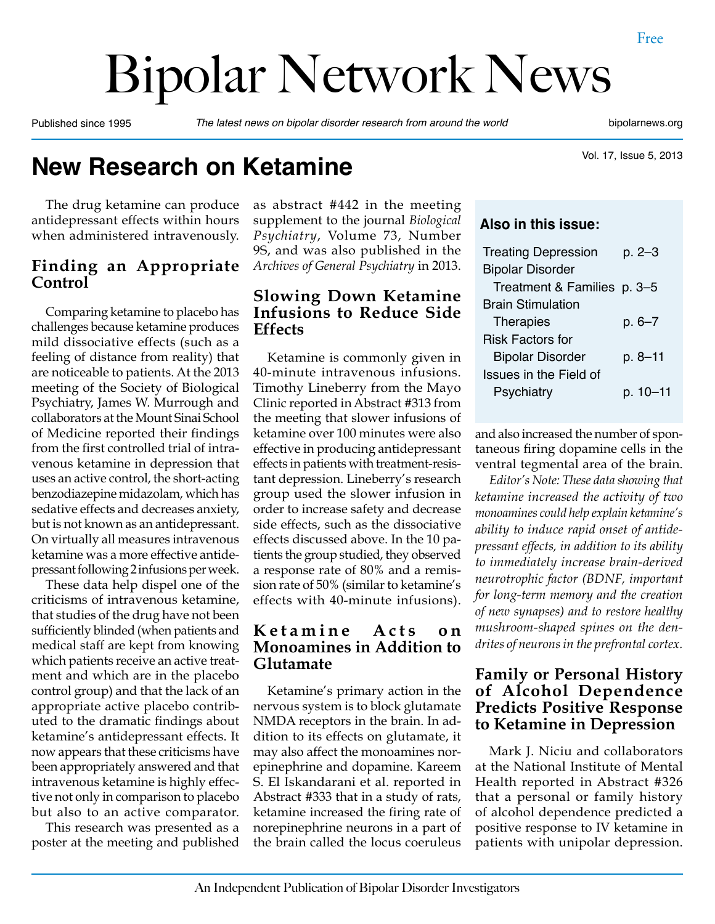# Bipolar Network News

Published since 1995 *The latest news on bipolar disorder research from around the world* bipolarnews.org

Vol. 17, Issue 5, 2013

# **New Research on Ketamine**

The drug ketamine can produce antidepressant effects within hours when administered intravenously.

#### **Finding an Appropriate Control**

Comparing ketamine to placebo has challenges because ketamine produces mild dissociative effects (such as a feeling of distance from reality) that are noticeable to patients. At the 2013 meeting of the Society of Biological Psychiatry, James W. Murrough and collaborators at the Mount Sinai School of Medicine reported their findings from the first controlled trial of intravenous ketamine in depression that uses an active control, the short-acting benzodiazepine midazolam, which has sedative effects and decreases anxiety, but is not known as an antidepressant. On virtually all measures intravenous ketamine was a more effective antidepressant following 2 infusions per week.

These data help dispel one of the criticisms of intravenous ketamine, that studies of the drug have not been sufficiently blinded (when patients and medical staff are kept from knowing which patients receive an active treatment and which are in the placebo control group) and that the lack of an appropriate active placebo contributed to the dramatic findings about ketamine's antidepressant effects. It now appears that these criticisms have been appropriately answered and that intravenous ketamine is highly effective not only in comparison to placebo but also to an active comparator.

This research was presented as a poster at the meeting and published as abstract #442 in the meeting supplement to the journal *Biological Psychiatry*, Volume 73, Number 9S, and was also published in the *Archives of General Psychiatry* in 2013.

#### **Slowing Down Ketamine Infusions to Reduce Side Effects**

Ketamine is commonly given in 40-minute intravenous infusions. Timothy Lineberry from the Mayo Clinic reported in Abstract #313 from the meeting that slower infusions of ketamine over 100 minutes were also effective in producing antidepressant effects in patients with treatment-resistant depression. Lineberry's research group used the slower infusion in order to increase safety and decrease side effects, such as the dissociative effects discussed above. In the 10 patients the group studied, they observed a response rate of 80% and a remission rate of 50% (similar to ketamine's effects with 40-minute infusions).

#### **K e t a m i n e A c t s o n Monoamines in Addition to Glutamate**

Ketamine's primary action in the nervous system is to block glutamate NMDA receptors in the brain. In addition to its effects on glutamate, it may also affect the monoamines norepinephrine and dopamine. Kareem S. El Iskandarani et al. reported in Abstract #333 that in a study of rats, ketamine increased the firing rate of norepinephrine neurons in a part of the brain called the locus coeruleus

#### **Also in this issue:**

| <b>Treating Depression</b>    | $p. 2 - 3$  |
|-------------------------------|-------------|
| <b>Bipolar Disorder</b>       |             |
| Treatment & Families p. 3-5   |             |
| <b>Brain Stimulation</b>      |             |
| <b>Therapies</b>              | $p.6 - 7$   |
| <b>Risk Factors for</b>       |             |
| <b>Bipolar Disorder</b>       | $p. 8 - 11$ |
| <b>Issues in the Field of</b> |             |
| Psychiatry                    | p. 10-11    |
|                               |             |

and also increased the number of spontaneous firing dopamine cells in the ventral tegmental area of the brain.

*Editor's Note: These data showing that ketamine increased the activity of two monoamines could help explain ketamine's ability to induce rapid onset of antidepressant effects, in addition to its ability to immediately increase brain-derived neurotrophic factor (BDNF, important for long-term memory and the creation of new synapses) and to restore healthy mushroom-shaped spines on the dendrites of neurons in the prefrontal cortex.*

#### **Family or Personal History of Alcohol Dependence Predicts Positive Response to Ketamine in Depression**

Mark J. Niciu and collaborators at the National Institute of Mental Health reported in Abstract #326 that a personal or family history of alcohol dependence predicted a positive response to IV ketamine in patients with unipolar depression.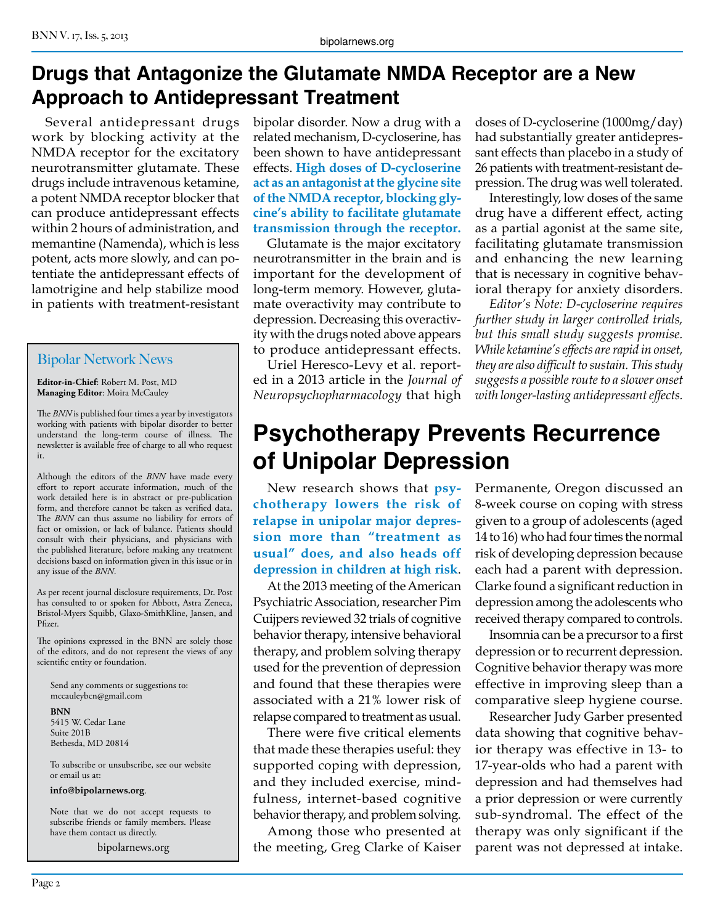# **Drugs that Antagonize the Glutamate NMDA Receptor are a New Approach to Antidepressant Treatment**

Several antidepressant drugs work by blocking activity at the NMDA receptor for the excitatory neurotransmitter glutamate. These drugs include intravenous ketamine, a potent NMDA receptor blocker that can produce antidepressant effects within 2 hours of administration, and memantine (Namenda), which is less potent, acts more slowly, and can potentiate the antidepressant effects of lamotrigine and help stabilize mood in patients with treatment-resistant

#### Bipolar Network News

**Editor-in-Chief**: Robert M. Post, MD **Managing Editor**: Moira McCauley

The *BNN* is published four times a year by investigators working with patients with bipolar disorder to better understand the long-term course of illness. The newsletter is available free of charge to all who request it.

Although the editors of the *BNN* have made every effort to report accurate information, much of the work detailed here is in abstract or pre-publication form, and therefore cannot be taken as verified data. The *BNN* can thus assume no liability for errors of fact or omission, or lack of balance. Patients should consult with their physicians, and physicians with the published literature, before making any treatment decisions based on information given in this issue or in any issue of the *BNN*.

As per recent journal disclosure requirements, Dr. Post has consulted to or spoken for Abbott, Astra Zeneca, Bristol-Myers Squibb, Glaxo-SmithKline, Jansen, and Pfizer.

The opinions expressed in the BNN are solely those of the editors, and do not represent the views of any scientific entity or foundation.

Send any comments or suggestions to: mccauleybcn@gmail.com

**BNN** 5415 W. Cedar Lane Suite 201B Bethesda, MD 20814

To subscribe or unsubscribe, see our website or email us at:

**info@bipolarnews.org**.

Note that we do not accept requests to subscribe friends or family members. Please have them contact us directly.

bipolarnews.org

bipolar disorder. Now a drug with a related mechanism, D-cycloserine, has been shown to have antidepressant effects. **High doses of D-cycloserine act as an antagonist at the glycine site of the NMDA receptor, blocking glycine's ability to facilitate glutamate transmission through the receptor.**

Glutamate is the major excitatory neurotransmitter in the brain and is important for the development of long-term memory. However, glutamate overactivity may contribute to depression. Decreasing this overactivity with the drugs noted above appears to produce antidepressant effects.

Uriel Heresco-Levy et al. reported in a 2013 article in the *Journal of Neuropsychopharmacology* that high

doses of D-cycloserine (1000mg/day) had substantially greater antidepressant effects than placebo in a study of 26 patients with treatment-resistant depression. The drug was well tolerated.

Interestingly, low doses of the same drug have a different effect, acting as a partial agonist at the same site, facilitating glutamate transmission and enhancing the new learning that is necessary in cognitive behavioral therapy for anxiety disorders.

*Editor's Note: D-cycloserine requires further study in larger controlled trials, but this small study suggests promise. While ketamine's effects are rapid in onset, they are also difficult to sustain. This study suggests a possible route to a slower onset with longer-lasting antidepressant effects.*

# **Psychotherapy Prevents Recurrence of Unipolar Depression**

New research shows that **psychotherapy lowers the risk of relapse in unipolar major depression more than "treatment as usual" does, and also heads off depression in children at high risk**.

At the 2013 meeting of the American Psychiatric Association, researcher Pim Cuijpers reviewed 32 trials of cognitive behavior therapy, intensive behavioral therapy, and problem solving therapy used for the prevention of depression and found that these therapies were associated with a 21% lower risk of relapse compared to treatment as usual.

There were five critical elements that made these therapies useful: they supported coping with depression, and they included exercise, mindfulness, internet-based cognitive behavior therapy, and problem solving.

Among those who presented at the meeting, Greg Clarke of Kaiser Permanente, Oregon discussed an 8-week course on coping with stress given to a group of adolescents (aged 14 to 16) who had four times the normal risk of developing depression because each had a parent with depression. Clarke found a significant reduction in depression among the adolescents who received therapy compared to controls.

Insomnia can be a precursor to a first depression or to recurrent depression. Cognitive behavior therapy was more effective in improving sleep than a comparative sleep hygiene course.

Researcher Judy Garber presented data showing that cognitive behavior therapy was effective in 13- to 17-year-olds who had a parent with depression and had themselves had a prior depression or were currently sub-syndromal. The effect of the therapy was only significant if the parent was not depressed at intake.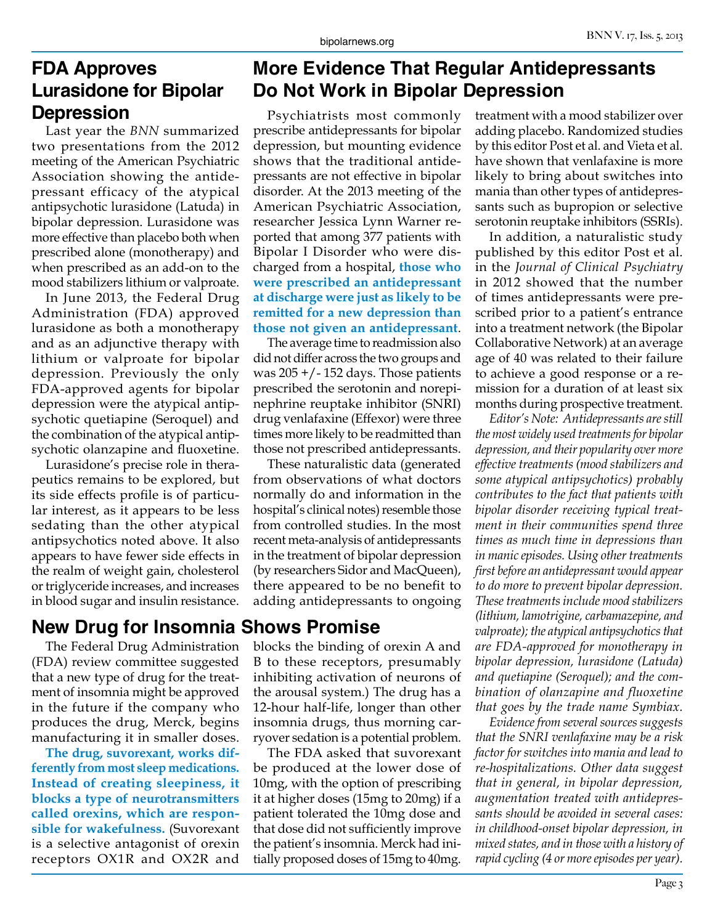#### **FDA Approves Lurasidone for Bipolar Depression**

Last year the *BNN* summarized two presentations from the 2012 meeting of the American Psychiatric Association showing the antidepressant efficacy of the atypical antipsychotic lurasidone (Latuda) in bipolar depression. Lurasidone was more effective than placebo both when prescribed alone (monotherapy) and when prescribed as an add-on to the mood stabilizers lithium or valproate.

In June 2013, the Federal Drug Administration (FDA) approved lurasidone as both a monotherapy and as an adjunctive therapy with lithium or valproate for bipolar depression. Previously the only FDA-approved agents for bipolar depression were the atypical antipsychotic quetiapine (Seroquel) and the combination of the atypical antipsychotic olanzapine and fluoxetine.

Lurasidone's precise role in therapeutics remains to be explored, but its side effects profile is of particular interest, as it appears to be less sedating than the other atypical antipsychotics noted above. It also appears to have fewer side effects in the realm of weight gain, cholesterol or triglyceride increases, and increases in blood sugar and insulin resistance.

#### **New Drug for Insomnia Shows Promise**

The Federal Drug Administration (FDA) review committee suggested that a new type of drug for the treatment of insomnia might be approved in the future if the company who produces the drug, Merck, begins manufacturing it in smaller doses.

**The drug, suvorexant, works differently from most sleep medications. Instead of creating sleepiness, it blocks a type of neurotransmitters called orexins, which are responsible for wakefulness.** (Suvorexant is a selective antagonist of orexin receptors OX1R and OX2R and

# **More Evidence That Regular Antidepressants Do Not Work in Bipolar Depression**

Psychiatrists most commonly prescribe antidepressants for bipolar depression, but mounting evidence shows that the traditional antidepressants are not effective in bipolar disorder. At the 2013 meeting of the American Psychiatric Association, researcher Jessica Lynn Warner reported that among 377 patients with Bipolar I Disorder who were discharged from a hospital, **those who were prescribed an antidepressant at discharge were just as likely to be remitted for a new depression than those not given an antidepressant**.

The average time to readmission also did not differ across the two groups and was  $205 + (-152 \text{ days}$ . Those patients prescribed the serotonin and norepinephrine reuptake inhibitor (SNRI) drug venlafaxine (Effexor) were three times more likely to be readmitted than those not prescribed antidepressants.

These naturalistic data (generated from observations of what doctors normally do and information in the hospital's clinical notes) resemble those from controlled studies. In the most recent meta-analysis of antidepressants in the treatment of bipolar depression (by researchers Sidor and MacQueen), there appeared to be no benefit to adding antidepressants to ongoing

blocks the binding of orexin A and B to these receptors, presumably inhibiting activation of neurons of the arousal system.) The drug has a 12-hour half-life, longer than other insomnia drugs, thus morning carryover sedation is a potential problem.

The FDA asked that suvorexant be produced at the lower dose of 10mg, with the option of prescribing it at higher doses (15mg to 20mg) if a patient tolerated the 10mg dose and that dose did not sufficiently improve the patient's insomnia. Merck had initially proposed doses of 15mg to 40mg.

treatment with a mood stabilizer over adding placebo. Randomized studies by this editor Post et al. and Vieta et al. have shown that venlafaxine is more likely to bring about switches into mania than other types of antidepressants such as bupropion or selective serotonin reuptake inhibitors (SSRIs).

In addition, a naturalistic study published by this editor Post et al. in the *Journal of Clinical Psychiatry* in 2012 showed that the number of times antidepressants were prescribed prior to a patient's entrance into a treatment network (the Bipolar Collaborative Network) at an average age of 40 was related to their failure to achieve a good response or a remission for a duration of at least six months during prospective treatment.

*Editor's Note: Antidepressants are still the most widely used treatments for bipolar depression, and their popularity over more effective treatments (mood stabilizers and some atypical antipsychotics) probably contributes to the fact that patients with bipolar disorder receiving typical treatment in their communities spend three times as much time in depressions than in manic episodes. Using other treatments first before an antidepressant would appear to do more to prevent bipolar depression. These treatments include mood stabilizers (lithium, lamotrigine, carbamazepine, and valproate); the atypical antipsychotics that are FDA-approved for monotherapy in bipolar depression, lurasidone (Latuda) and quetiapine (Seroquel); and the combination of olanzapine and fluoxetine that goes by the trade name Symbiax.*

*Evidence from several sources suggests that the SNRI venlafaxine may be a risk factor for switches into mania and lead to re-hospitalizations. Other data suggest that in general, in bipolar depression, augmentation treated with antidepressants should be avoided in several cases: in childhood-onset bipolar depression, in mixed states, and in those with a history of rapid cycling (4 or more episodes per year).*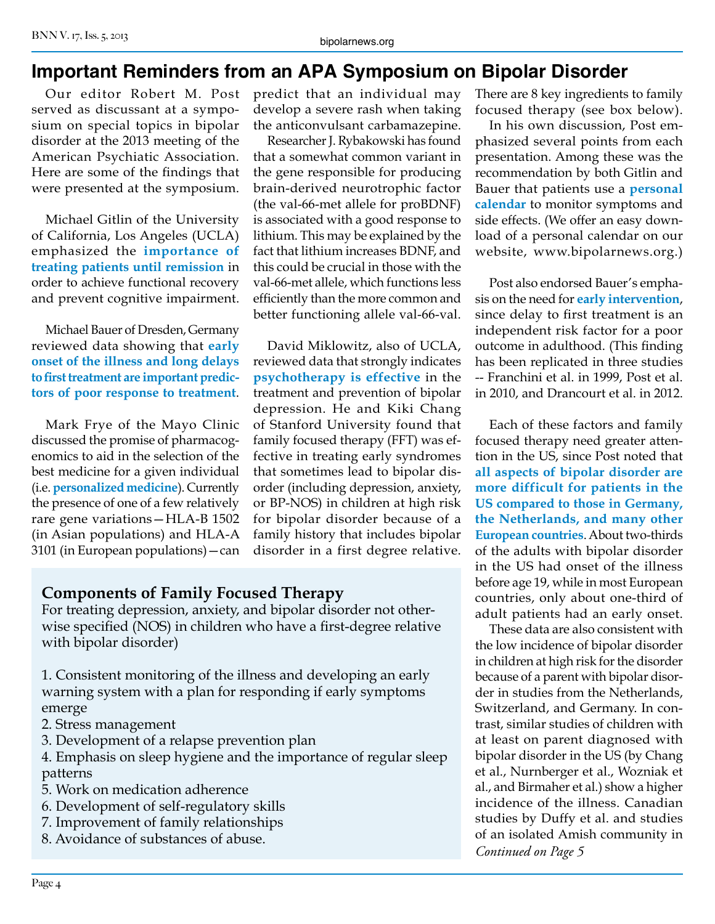# **Important Reminders from an APA Symposium on Bipolar Disorder**

Our editor Robert M. Post served as discussant at a symposium on special topics in bipolar disorder at the 2013 meeting of the American Psychiatic Association. Here are some of the findings that were presented at the symposium.

Michael Gitlin of the University of California, Los Angeles (UCLA) emphasized the **importance of treating patients until remission** in order to achieve functional recovery and prevent cognitive impairment.

Michael Bauer of Dresden, Germany reviewed data showing that **early onset of the illness and long delays to first treatment are important predictors of poor response to treatment**.

Mark Frye of the Mayo Clinic discussed the promise of pharmacogenomics to aid in the selection of the best medicine for a given individual (i.e. **personalized medicine**). Currently the presence of one of a few relatively rare gene variations—HLA-B 1502 (in Asian populations) and HLA-A 3101 (in European populations)—can

predict that an individual may develop a severe rash when taking the anticonvulsant carbamazepine.

Researcher J. Rybakowski has found that a somewhat common variant in the gene responsible for producing brain-derived neurotrophic factor (the val-66-met allele for proBDNF) is associated with a good response to lithium. This may be explained by the fact that lithium increases BDNF, and this could be crucial in those with the val-66-met allele, which functions less efficiently than the more common and better functioning allele val-66-val.

David Miklowitz, also of UCLA, reviewed data that strongly indicates **psychotherapy is effective** in the treatment and prevention of bipolar depression. He and Kiki Chang of Stanford University found that family focused therapy (FFT) was effective in treating early syndromes that sometimes lead to bipolar disorder (including depression, anxiety, or BP-NOS) in children at high risk for bipolar disorder because of a family history that includes bipolar disorder in a first degree relative.

#### **Components of Family Focused Therapy**

For treating depression, anxiety, and bipolar disorder not otherwise specified (NOS) in children who have a first-degree relative with bipolar disorder)

1. Consistent monitoring of the illness and developing an early warning system with a plan for responding if early symptoms emerge

- 2. Stress management
- 3. Development of a relapse prevention plan

4. Emphasis on sleep hygiene and the importance of regular sleep patterns

- 5. Work on medication adherence
- 6. Development of self-regulatory skills
- 7. Improvement of family relationships
- 8. Avoidance of substances of abuse.

There are 8 key ingredients to family focused therapy (see box below).

In his own discussion, Post emphasized several points from each presentation. Among these was the recommendation by both Gitlin and Bauer that patients use a **personal calendar** to monitor symptoms and side effects. (We offer an easy download of a personal calendar on our website, www.bipolarnews.org.)

Post also endorsed Bauer's emphasis on the need for **early intervention**, since delay to first treatment is an independent risk factor for a poor outcome in adulthood. (This finding has been replicated in three studies -- Franchini et al. in 1999, Post et al. in 2010, and Drancourt et al. in 2012.

Each of these factors and family focused therapy need greater attention in the US, since Post noted that **all aspects of bipolar disorder are more difficult for patients in the US compared to those in Germany, the Netherlands, and many other European countries**. About two-thirds of the adults with bipolar disorder in the US had onset of the illness before age 19, while in most European countries, only about one-third of adult patients had an early onset.

These data are also consistent with the low incidence of bipolar disorder in children at high risk for the disorder because of a parent with bipolar disorder in studies from the Netherlands, Switzerland, and Germany. In contrast, similar studies of children with at least on parent diagnosed with bipolar disorder in the US (by Chang et al., Nurnberger et al., Wozniak et al., and Birmaher et al.) show a higher incidence of the illness. Canadian studies by Duffy et al. and studies of an isolated Amish community in *Continued on Page 5*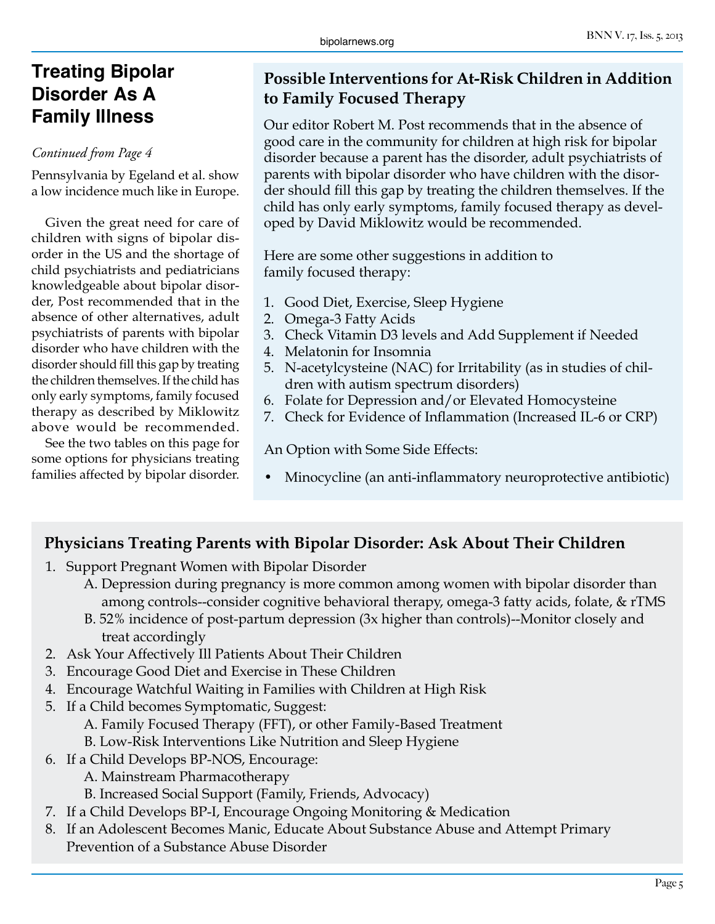# **Treating Bipolar Disorder As A Family Illness**

#### *Continued from Page 4*

Pennsylvania by Egeland et al. show a low incidence much like in Europe.

Given the great need for care of children with signs of bipolar disorder in the US and the shortage of child psychiatrists and pediatricians knowledgeable about bipolar disorder, Post recommended that in the absence of other alternatives, adult psychiatrists of parents with bipolar disorder who have children with the disorder should fill this gap by treating the children themselves. If the child has only early symptoms, family focused therapy as described by Miklowitz above would be recommended.

See the two tables on this page for some options for physicians treating families affected by bipolar disorder.

#### **Possible Interventions for At-Risk Children in Addition to Family Focused Therapy**

Our editor Robert M. Post recommends that in the absence of good care in the community for children at high risk for bipolar disorder because a parent has the disorder, adult psychiatrists of parents with bipolar disorder who have children with the disorder should fill this gap by treating the children themselves. If the child has only early symptoms, family focused therapy as developed by David Miklowitz would be recommended.

Here are some other suggestions in addition to family focused therapy:

- 1. Good Diet, Exercise, Sleep Hygiene
- 2. Omega-3 Fatty Acids
- 3. Check Vitamin D3 levels and Add Supplement if Needed
- 4. Melatonin for Insomnia
- 5. N-acetylcysteine (NAC) for Irritability (as in studies of children with autism spectrum disorders)
- 6. Folate for Depression and/or Elevated Homocysteine
- 7. Check for Evidence of Inflammation (Increased IL-6 or CRP)

An Option with Some Side Effects:

• Minocycline (an anti-inflammatory neuroprotective antibiotic)

#### **Physicians Treating Parents with Bipolar Disorder: Ask About Their Children**

- 1. Support Pregnant Women with Bipolar Disorder
	- A. Depression during pregnancy is more common among women with bipolar disorder than among controls--consider cognitive behavioral therapy, omega-3 fatty acids, folate, & rTMS
	- B. 52% incidence of post-partum depression (3x higher than controls)--Monitor closely and treat accordingly
- 2. Ask Your Affectively Ill Patients About Their Children
- 3. Encourage Good Diet and Exercise in These Children
- 4. Encourage Watchful Waiting in Families with Children at High Risk
- 5. If a Child becomes Symptomatic, Suggest:
	- A. Family Focused Therapy (FFT), or other Family-Based Treatment
	- B. Low-Risk Interventions Like Nutrition and Sleep Hygiene
- 6. If a Child Develops BP-NOS, Encourage:
	- A. Mainstream Pharmacotherapy
	- B. Increased Social Support (Family, Friends, Advocacy)
- 7. If a Child Develops BP-I, Encourage Ongoing Monitoring & Medication
- 8. If an Adolescent Becomes Manic, Educate About Substance Abuse and Attempt Primary Prevention of a Substance Abuse Disorder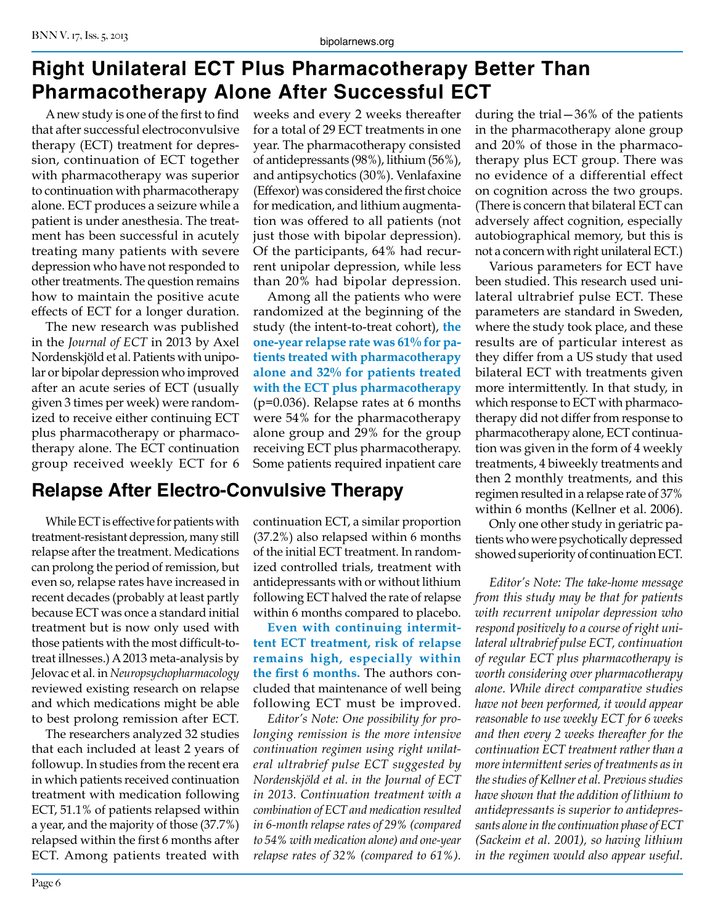#### BNN V. 17, Iss. 5, 2013

# **Right Unilateral ECT Plus Pharmacotherapy Better Than Pharmacotherapy Alone After Successful ECT**

A new study is one of the first to find that after successful electroconvulsive therapy (ECT) treatment for depression, continuation of ECT together with pharmacotherapy was superior to continuation with pharmacotherapy alone. ECT produces a seizure while a patient is under anesthesia. The treatment has been successful in acutely treating many patients with severe depression who have not responded to other treatments. The question remains how to maintain the positive acute effects of ECT for a longer duration.

The new research was published in the *Journal of ECT* in 2013 by Axel Nordenskjöld et al. Patients with unipolar or bipolar depression who improved after an acute series of ECT (usually given 3 times per week) were randomized to receive either continuing ECT plus pharmacotherapy or pharmacotherapy alone. The ECT continuation group received weekly ECT for 6

#### **Relapse After Electro-Convulsive Therapy**

While ECT is effective for patients with treatment-resistant depression, many still relapse after the treatment. Medications can prolong the period of remission, but even so, relapse rates have increased in recent decades (probably at least partly because ECT was once a standard initial treatment but is now only used with those patients with the most difficult-totreat illnesses.) A 2013 meta-analysis by Jelovac et al. in *Neuropsychopharmacology* reviewed existing research on relapse and which medications might be able to best prolong remission after ECT.

The researchers analyzed 32 studies that each included at least 2 years of followup. In studies from the recent era in which patients received continuation treatment with medication following ECT, 51.1% of patients relapsed within a year, and the majority of those (37.7%) relapsed within the first 6 months after ECT. Among patients treated with

weeks and every 2 weeks thereafter for a total of 29 ECT treatments in one year. The pharmacotherapy consisted of antidepressants (98%), lithium (56%), and antipsychotics (30%). Venlafaxine (Effexor) was considered the first choice for medication, and lithium augmentation was offered to all patients (not just those with bipolar depression). Of the participants, 64% had recurrent unipolar depression, while less than 20% had bipolar depression.

Among all the patients who were randomized at the beginning of the study (the intent-to-treat cohort), **the one-year relapse rate was 61% for patients treated with pharmacotherapy alone and 32% for patients treated with the ECT plus pharmacotherapy**  (p=0.036). Relapse rates at 6 months were 54% for the pharmacotherapy alone group and 29% for the group receiving ECT plus pharmacotherapy. Some patients required inpatient care

continuation ECT, a similar proportion (37.2%) also relapsed within 6 months of the initial ECT treatment. In randomized controlled trials, treatment with antidepressants with or without lithium following ECT halved the rate of relapse within 6 months compared to placebo.

**Even with continuing intermittent ECT treatment, risk of relapse remains high, especially within the first 6 months.** The authors concluded that maintenance of well being following ECT must be improved.

*Editor's Note: One possibility for prolonging remission is the more intensive continuation regimen using right unilateral ultrabrief pulse ECT suggested by Nordenskjöld et al. in the Journal of ECT in 2013. Continuation treatment with a combination of ECT and medication resulted in 6-month relapse rates of 29% (compared to 54% with medication alone) and one-year relapse rates of 32% (compared to 61%).*

during the trial—36% of the patients in the pharmacotherapy alone group and 20% of those in the pharmacotherapy plus ECT group. There was no evidence of a differential effect on cognition across the two groups. (There is concern that bilateral ECT can adversely affect cognition, especially autobiographical memory, but this is not a concern with right unilateral ECT.)

Various parameters for ECT have been studied. This research used unilateral ultrabrief pulse ECT. These parameters are standard in Sweden, where the study took place, and these results are of particular interest as they differ from a US study that used bilateral ECT with treatments given more intermittently. In that study, in which response to ECT with pharmacotherapy did not differ from response to pharmacotherapy alone, ECT continuation was given in the form of 4 weekly treatments, 4 biweekly treatments and then 2 monthly treatments, and this regimen resulted in a relapse rate of 37% within 6 months (Kellner et al. 2006).

Only one other study in geriatric patients who were psychotically depressed showed superiority of continuation ECT.

*Editor's Note: The take-home message from this study may be that for patients with recurrent unipolar depression who respond positively to a course of right unilateral ultrabrief pulse ECT, continuation of regular ECT plus pharmacotherapy is worth considering over pharmacotherapy alone. While direct comparative studies have not been performed, it would appear reasonable to use weekly ECT for 6 weeks and then every 2 weeks thereafter for the continuation ECT treatment rather than a more intermittent series of treatments as in the studies of Kellner et al. Previous studies have shown that the addition of lithium to antidepressants is superior to antidepressants alone in the continuation phase of ECT (Sackeim et al. 2001), so having lithium in the regimen would also appear useful.*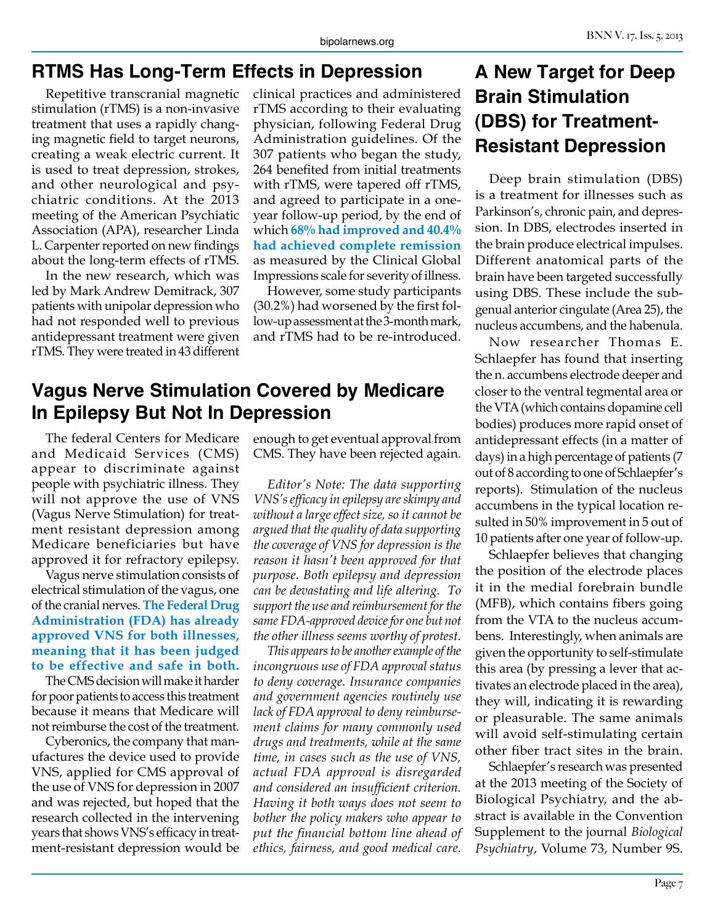#### **RTMS Has Long-Term Effects in Depression**

Repetitive transcranial magnetic stimulation (rTMS) is a non-invasive treatment that uses a rapidly changing magnetic field to target neurons, creating a weak electric current. It is used to treat depression, strokes, and other neurological and psychiatric conditions. At the 2013 meeting of the American Psychiatic Association (APA), researcher Linda L. Carpenter reported on new findings about the long-term effects of rTMS.

In the new research, which was led by Mark Andrew Demitrack, 307 patients with unipolar depression who had not responded well to previous antidepressant treatment were given rTMS. They were treated in 43 different

clinical practices and administered rTMS according to their evaluating physician, following Federal Drug Administration guidelines. Of the 307 patients who began the study, 264 benefited from initial treatments with rTMS, were tapered off rTMS, and agreed to participate in a oneyear follow-up period, by the end of which **68% had improved and 40.4% had achieved complete remission**  as measured by the Clinical Global Impressions scale for severity of illness.

However, some study participants (30.2%) had worsened by the first follow-up assessment at the 3-month mark, and rTMS had to be re-introduced.

#### **Vagus Nerve Stimulation Covered by Medicare In Epilepsy But Not In Depression**

The federal Centers for Medicare and Medicaid Services (CMS) appear to discriminate against people with psychiatric illness. They will not approve the use of VNS (Vagus Nerve Stimulation) for treatment resistant depression among Medicare beneficiaries but have approved it for refractory epilepsy.

Vagus nerve stimulation consists of electrical stimulation of the vagus, one of the cranial nerves. **The Federal Drug Administration (FDA) has already approved VNS for both illnesses, meaning that it has been judged to be effective and safe in both.**

The CMS decision will make it harder for poor patients to access this treatment because it means that Medicare will not reimburse the cost of the treatment.

Cyberonics, the company that manufactures the device used to provide VNS, applied for CMS approval of the use of VNS for depression in 2007 and was rejected, but hoped that the research collected in the intervening years that shows VNS's efficacy in treatment-resistant depression would be

enough to get eventual approval from CMS. They have been rejected again.

*Editor's Note: The data supporting VNS's efficacy in epilepsy are skimpy and without a large effect size, so it cannot be argued that the quality of data supporting the coverage of VNS for depression is the reason it hasn't been approved for that purpose. Both epilepsy and depression can be devastating and life altering. To support the use and reimbursement for the same FDA-approved device for one but not the other illness seems worthy of protest.*

*This appears to be another example of the incongruous use of FDA approval status to deny coverage. Insurance companies and government agencies routinely use lack of FDA approval to deny reimbursement claims for many commonly used drugs and treatments, while at the same time, in cases such as the use of VNS, actual FDA approval is disregarded and considered an insufficient criterion. Having it both ways does not seem to bother the policy makers who appear to put the financial bottom line ahead of ethics, fairness, and good medical care.*

# **A New Target for Deep Brain Stimulation (DBS) for Treatment-Resistant Depression**

Deep brain stimulation (DBS) is a treatment for illnesses such as Parkinson's, chronic pain, and depression. In DBS, electrodes inserted in the brain produce electrical impulses. Different anatomical parts of the brain have been targeted successfully using DBS. These include the subgenual anterior cingulate (Area 25), the nucleus accumbens, and the habenula.

Now researcher Thomas E. Schlaepfer has found that inserting the n. accumbens electrode deeper and closer to the ventral tegmental area or the VTA (which contains dopamine cell bodies) produces more rapid onset of antidepressant effects (in a matter of days) in a high percentage of patients (7 out of 8 according to one of Schlaepfer's reports). Stimulation of the nucleus accumbens in the typical location resulted in 50% improvement in 5 out of 10 patients after one year of follow-up.

Schlaepfer believes that changing the position of the electrode places it in the medial forebrain bundle (MFB), which contains fibers going from the VTA to the nucleus accumbens. Interestingly, when animals are given the opportunity to self-stimulate this area (by pressing a lever that activates an electrode placed in the area), they will, indicating it is rewarding or pleasurable. The same animals will avoid self-stimulating certain other fiber tract sites in the brain.

Schlaepfer's research was presented at the 2013 meeting of the Society of Biological Psychiatry, and the abstract is available in the Convention Supplement to the journal *Biological Psychiatry*, Volume 73, Number 9S.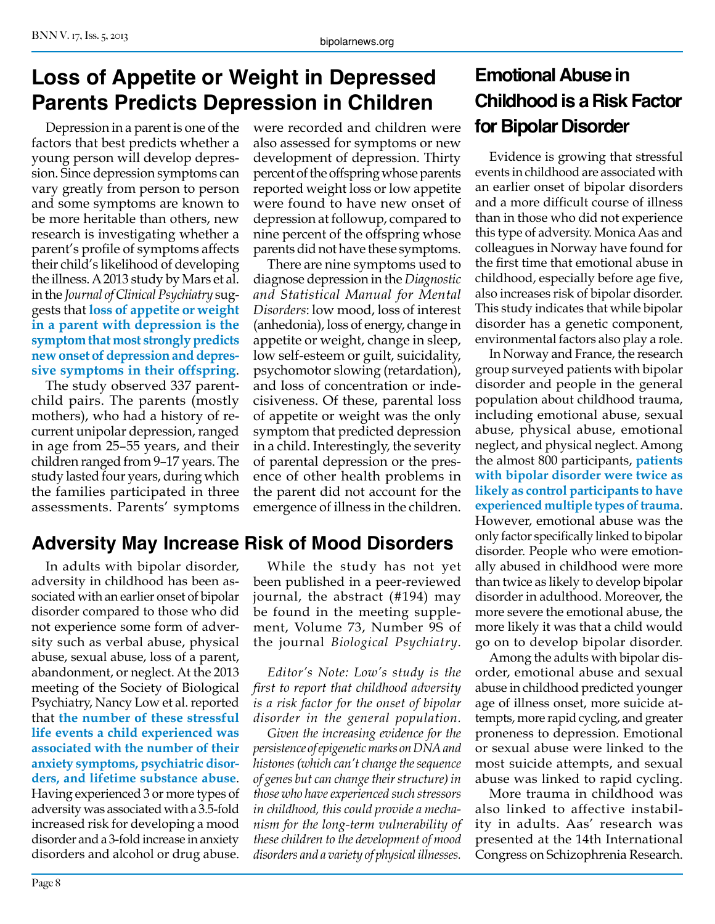# **Loss of Appetite or Weight in Depressed Parents Predicts Depression in Children**

Depression in a parent is one of the factors that best predicts whether a young person will develop depression. Since depression symptoms can vary greatly from person to person and some symptoms are known to be more heritable than others, new research is investigating whether a parent's profile of symptoms affects their child's likelihood of developing the illness. A 2013 study by Mars et al. in the *Journal of Clinical Psychiatry* suggests that **loss of appetite or weight in a parent with depression is the symptom that most strongly predicts new onset of depression and depressive symptoms in their offspring**.

The study observed 337 parentchild pairs. The parents (mostly mothers), who had a history of recurrent unipolar depression, ranged in age from 25–55 years, and their children ranged from 9–17 years. The study lasted four years, during which the families participated in three assessments. Parents' symptoms

# **Adversity May Increase Risk of Mood Disorders**

In adults with bipolar disorder, adversity in childhood has been associated with an earlier onset of bipolar disorder compared to those who did not experience some form of adversity such as verbal abuse, physical abuse, sexual abuse, loss of a parent, abandonment, or neglect. At the 2013 meeting of the Society of Biological Psychiatry, Nancy Low et al. reported that **the number of these stressful life events a child experienced was associated with the number of their anxiety symptoms, psychiatric disorders, and lifetime substance abuse**. Having experienced 3 or more types of adversity was associated with a 3.5-fold increased risk for developing a mood disorder and a 3-fold increase in anxiety disorders and alcohol or drug abuse.

were recorded and children were also assessed for symptoms or new development of depression. Thirty percent of the offspring whose parents reported weight loss or low appetite were found to have new onset of depression at followup, compared to nine percent of the offspring whose parents did not have these symptoms.

There are nine symptoms used to diagnose depression in the *Diagnostic and Statistical Manual for Mental Disorders*: low mood, loss of interest (anhedonia), loss of energy, change in appetite or weight, change in sleep, low self-esteem or guilt, suicidality, psychomotor slowing (retardation), and loss of concentration or indecisiveness. Of these, parental loss of appetite or weight was the only symptom that predicted depression in a child. Interestingly, the severity of parental depression or the presence of other health problems in the parent did not account for the emergence of illness in the children.

While the study has not yet been published in a peer-reviewed journal, the abstract (#194) may be found in the meeting supplement, Volume 73, Number 9S of the journal *Biological Psychiatry*.

*Editor's Note: Low's study is the first to report that childhood adversity is a risk factor for the onset of bipolar disorder in the general population.*

*Given the increasing evidence for the persistence of epigenetic marks on DNA and histones (which can't change the sequence of genes but can change their structure) in those who have experienced such stressors in childhood, this could provide a mechanism for the long-term vulnerability of these children to the development of mood disorders and a variety of physical illnesses.*

# **Emotional Abuse in Childhood is a Risk Factor for Bipolar Disorder**

Evidence is growing that stressful events in childhood are associated with an earlier onset of bipolar disorders and a more difficult course of illness than in those who did not experience this type of adversity. Monica Aas and colleagues in Norway have found for the first time that emotional abuse in childhood, especially before age five, also increases risk of bipolar disorder. This study indicates that while bipolar disorder has a genetic component, environmental factors also play a role.

In Norway and France, the research group surveyed patients with bipolar disorder and people in the general population about childhood trauma, including emotional abuse, sexual abuse, physical abuse, emotional neglect, and physical neglect. Among the almost 800 participants, **patients with bipolar disorder were twice as likely as control participants to have experienced multiple types of trauma**. However, emotional abuse was the only factor specifically linked to bipolar disorder. People who were emotionally abused in childhood were more than twice as likely to develop bipolar disorder in adulthood. Moreover, the more severe the emotional abuse, the more likely it was that a child would go on to develop bipolar disorder.

Among the adults with bipolar disorder, emotional abuse and sexual abuse in childhood predicted younger age of illness onset, more suicide attempts, more rapid cycling, and greater proneness to depression. Emotional or sexual abuse were linked to the most suicide attempts, and sexual abuse was linked to rapid cycling.

More trauma in childhood was also linked to affective instability in adults. Aas' research was presented at the 14th International Congress on Schizophrenia Research.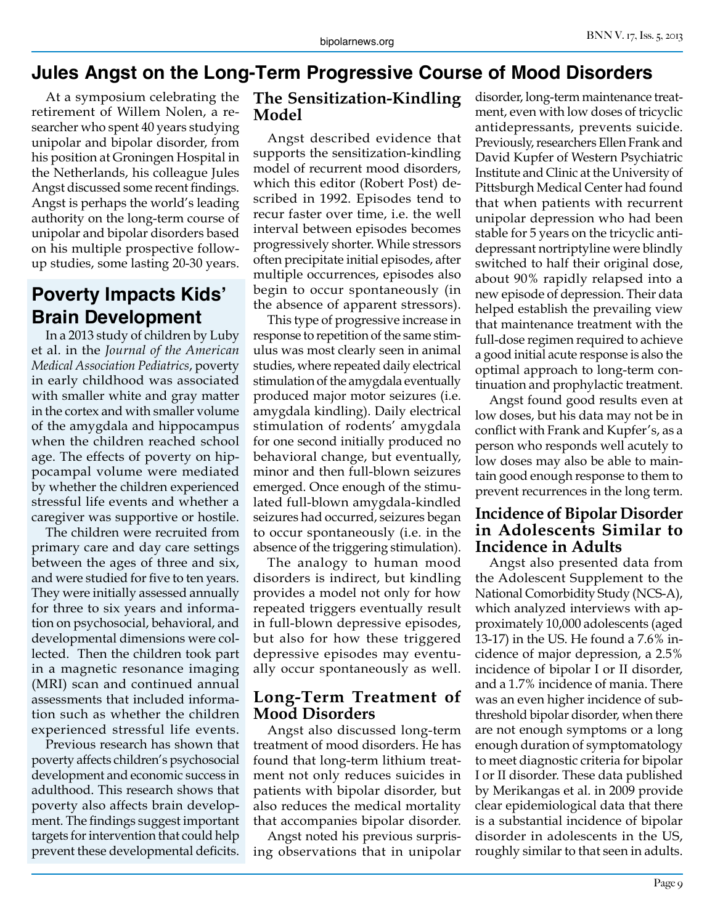#### **Jules Angst on the Long-Term Progressive Course of Mood Disorders**

At a symposium celebrating the retirement of Willem Nolen, a researcher who spent 40 years studying unipolar and bipolar disorder, from his position at Groningen Hospital in the Netherlands, his colleague Jules Angst discussed some recent findings. Angst is perhaps the world's leading authority on the long-term course of unipolar and bipolar disorders based on his multiple prospective followup studies, some lasting 20-30 years.

# **Poverty Impacts Kids' Brain Development**

In a 2013 study of children by Luby et al. in the *Journal of the American Medical Association Pediatrics*, poverty in early childhood was associated with smaller white and gray matter in the cortex and with smaller volume of the amygdala and hippocampus when the children reached school age. The effects of poverty on hippocampal volume were mediated by whether the children experienced stressful life events and whether a caregiver was supportive or hostile.

The children were recruited from primary care and day care settings between the ages of three and six, and were studied for five to ten years. They were initially assessed annually for three to six years and information on psychosocial, behavioral, and developmental dimensions were collected. Then the children took part in a magnetic resonance imaging (MRI) scan and continued annual assessments that included information such as whether the children experienced stressful life events.

Previous research has shown that poverty affects children's psychosocial development and economic success in adulthood. This research shows that poverty also affects brain development. The findings suggest important targets for intervention that could help prevent these developmental deficits.

#### **The Sensitization-Kindling Model**

Angst described evidence that supports the sensitization-kindling model of recurrent mood disorders, which this editor (Robert Post) described in 1992. Episodes tend to recur faster over time, i.e. the well interval between episodes becomes progressively shorter. While stressors often precipitate initial episodes, after multiple occurrences, episodes also begin to occur spontaneously (in the absence of apparent stressors).

This type of progressive increase in response to repetition of the same stimulus was most clearly seen in animal studies, where repeated daily electrical stimulation of the amygdala eventually produced major motor seizures (i.e. amygdala kindling). Daily electrical stimulation of rodents' amygdala for one second initially produced no behavioral change, but eventually, minor and then full-blown seizures emerged. Once enough of the stimulated full-blown amygdala-kindled seizures had occurred, seizures began to occur spontaneously (i.e. in the absence of the triggering stimulation).

The analogy to human mood disorders is indirect, but kindling provides a model not only for how repeated triggers eventually result in full-blown depressive episodes, but also for how these triggered depressive episodes may eventually occur spontaneously as well.

#### **Long-Term Treatment of Mood Disorders**

Angst also discussed long-term treatment of mood disorders. He has found that long-term lithium treatment not only reduces suicides in patients with bipolar disorder, but also reduces the medical mortality that accompanies bipolar disorder.

Angst noted his previous surprising observations that in unipolar

disorder, long-term maintenance treatment, even with low doses of tricyclic antidepressants, prevents suicide. Previously, researchers Ellen Frank and David Kupfer of Western Psychiatric Institute and Clinic at the University of Pittsburgh Medical Center had found that when patients with recurrent unipolar depression who had been stable for 5 years on the tricyclic antidepressant nortriptyline were blindly switched to half their original dose, about 90% rapidly relapsed into a new episode of depression. Their data helped establish the prevailing view that maintenance treatment with the full-dose regimen required to achieve a good initial acute response is also the optimal approach to long-term continuation and prophylactic treatment.

Angst found good results even at low doses, but his data may not be in conflict with Frank and Kupfer's, as a person who responds well acutely to low doses may also be able to maintain good enough response to them to prevent recurrences in the long term.

#### **Incidence of Bipolar Disorder in Adolescents Similar to Incidence in Adults**

Angst also presented data from the Adolescent Supplement to the National Comorbidity Study (NCS-A), which analyzed interviews with approximately 10,000 adolescents (aged 13-17) in the US. He found a 7.6% incidence of major depression, a 2.5% incidence of bipolar I or II disorder, and a 1.7% incidence of mania. There was an even higher incidence of subthreshold bipolar disorder, when there are not enough symptoms or a long enough duration of symptomatology to meet diagnostic criteria for bipolar I or II disorder. These data published by Merikangas et al. in 2009 provide clear epidemiological data that there is a substantial incidence of bipolar disorder in adolescents in the US, roughly similar to that seen in adults.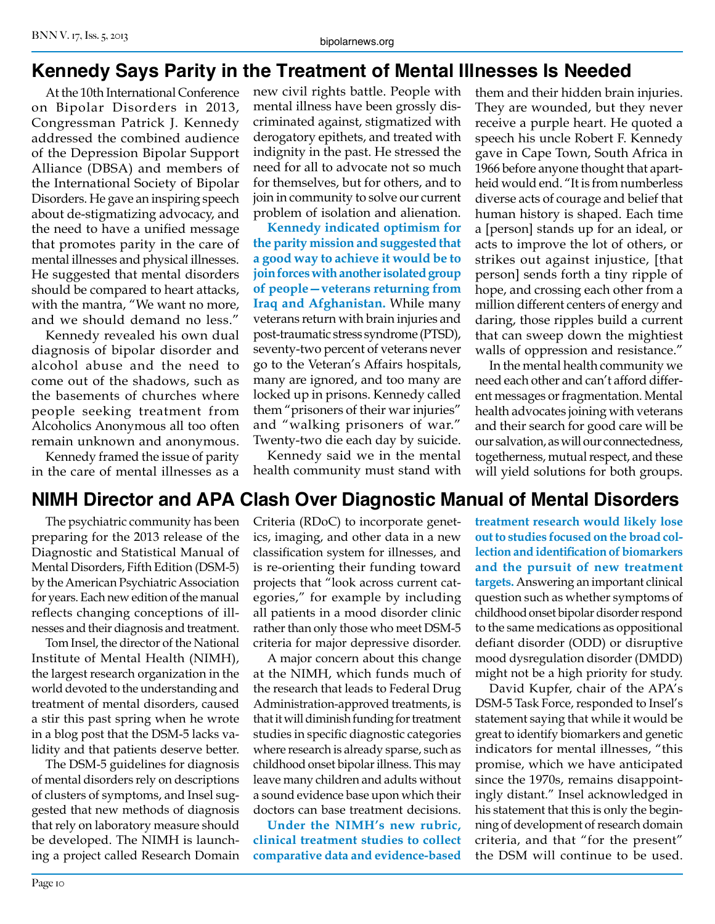# **Kennedy Says Parity in the Treatment of Mental Illnesses Is Needed**

At the 10th International Conference on Bipolar Disorders in 2013, Congressman Patrick J. Kennedy addressed the combined audience of the Depression Bipolar Support Alliance (DBSA) and members of the International Society of Bipolar Disorders. He gave an inspiring speech about de-stigmatizing advocacy, and the need to have a unified message that promotes parity in the care of mental illnesses and physical illnesses. He suggested that mental disorders should be compared to heart attacks, with the mantra, "We want no more, and we should demand no less."

Kennedy revealed his own dual diagnosis of bipolar disorder and alcohol abuse and the need to come out of the shadows, such as the basements of churches where people seeking treatment from Alcoholics Anonymous all too often remain unknown and anonymous.

Kennedy framed the issue of parity in the care of mental illnesses as a new civil rights battle. People with mental illness have been grossly discriminated against, stigmatized with derogatory epithets, and treated with indignity in the past. He stressed the need for all to advocate not so much for themselves, but for others, and to join in community to solve our current problem of isolation and alienation.

**Kennedy indicated optimism for the parity mission and suggested that a good way to achieve it would be to join forces with another isolated group of people—veterans returning from Iraq and Afghanistan.** While many veterans return with brain injuries and post-traumatic stress syndrome (PTSD), seventy-two percent of veterans never go to the Veteran's Affairs hospitals, many are ignored, and too many are locked up in prisons. Kennedy called them "prisoners of their war injuries" and "walking prisoners of war." Twenty-two die each day by suicide.

Kennedy said we in the mental health community must stand with

them and their hidden brain injuries. They are wounded, but they never receive a purple heart. He quoted a speech his uncle Robert F. Kennedy gave in Cape Town, South Africa in 1966 before anyone thought that apartheid would end. "It is from numberless diverse acts of courage and belief that human history is shaped. Each time a [person] stands up for an ideal, or acts to improve the lot of others, or strikes out against injustice, [that person] sends forth a tiny ripple of hope, and crossing each other from a million different centers of energy and daring, those ripples build a current that can sweep down the mightiest walls of oppression and resistance."

In the mental health community we need each other and can't afford different messages or fragmentation. Mental health advocates joining with veterans and their search for good care will be our salvation, as will our connectedness, togetherness, mutual respect, and these will yield solutions for both groups.

### **NIMH Director and APA Clash Over Diagnostic Manual of Mental Disorders**

The psychiatric community has been preparing for the 2013 release of the Diagnostic and Statistical Manual of Mental Disorders, Fifth Edition (DSM-5) by the American Psychiatric Association for years. Each new edition of the manual reflects changing conceptions of illnesses and their diagnosis and treatment.

Tom Insel, the director of the National Institute of Mental Health (NIMH), the largest research organization in the world devoted to the understanding and treatment of mental disorders, caused a stir this past spring when he wrote in a blog post that the DSM-5 lacks validity and that patients deserve better.

The DSM-5 guidelines for diagnosis of mental disorders rely on descriptions of clusters of symptoms, and Insel suggested that new methods of diagnosis that rely on laboratory measure should be developed. The NIMH is launching a project called Research Domain Criteria (RDoC) to incorporate genetics, imaging, and other data in a new classification system for illnesses, and is re-orienting their funding toward projects that "look across current categories," for example by including all patients in a mood disorder clinic rather than only those who meet DSM-5 criteria for major depressive disorder.

A major concern about this change at the NIMH, which funds much of the research that leads to Federal Drug Administration-approved treatments, is that it will diminish funding for treatment studies in specific diagnostic categories where research is already sparse, such as childhood onset bipolar illness. This may leave many children and adults without a sound evidence base upon which their doctors can base treatment decisions.

**Under the NIMH's new rubric, clinical treatment studies to collect comparative data and evidence-based**  **treatment research would likely lose out to studies focused on the broad collection and identification of biomarkers and the pursuit of new treatment targets.** Answering an important clinical question such as whether symptoms of childhood onset bipolar disorder respond to the same medications as oppositional defiant disorder (ODD) or disruptive mood dysregulation disorder (DMDD) might not be a high priority for study.

David Kupfer, chair of the APA's DSM-5 Task Force, responded to Insel's statement saying that while it would be great to identify biomarkers and genetic indicators for mental illnesses, "this promise, which we have anticipated since the 1970s, remains disappointingly distant." Insel acknowledged in his statement that this is only the beginning of development of research domain criteria, and that "for the present" the DSM will continue to be used.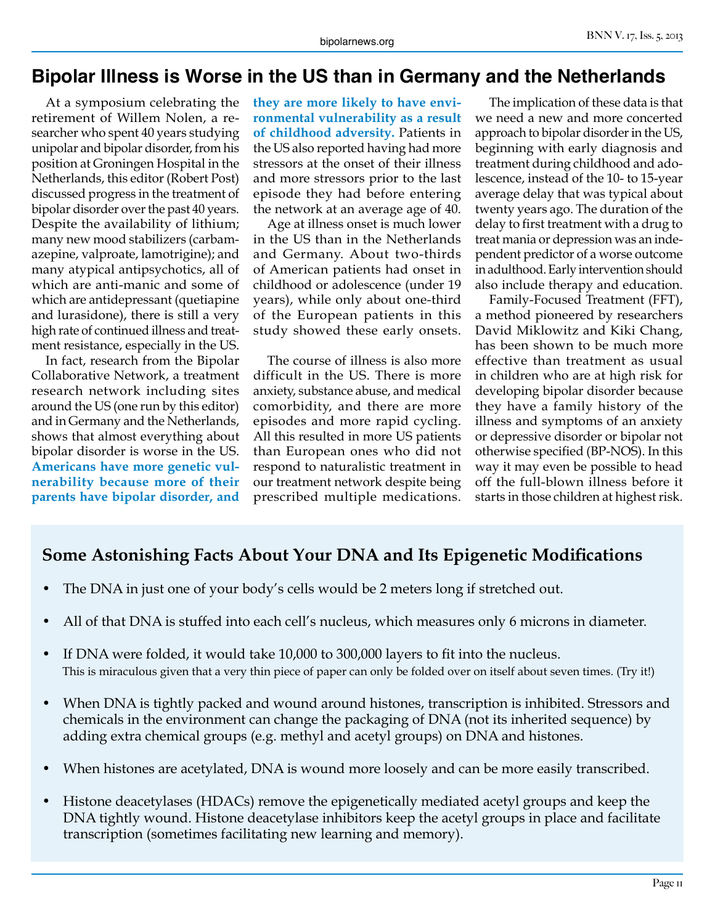#### **Bipolar Illness is Worse in the US than in Germany and the Netherlands**

At a symposium celebrating the retirement of Willem Nolen, a researcher who spent 40 years studying unipolar and bipolar disorder, from his position at Groningen Hospital in the Netherlands, this editor (Robert Post) discussed progress in the treatment of bipolar disorder over the past 40 years. Despite the availability of lithium; many new mood stabilizers (carbamazepine, valproate, lamotrigine); and many atypical antipsychotics, all of which are anti-manic and some of which are antidepressant (quetiapine and lurasidone), there is still a very high rate of continued illness and treatment resistance, especially in the US.

In fact, research from the Bipolar Collaborative Network, a treatment research network including sites around the US (one run by this editor) and in Germany and the Netherlands, shows that almost everything about bipolar disorder is worse in the US. **Americans have more genetic vulnerability because more of their parents have bipolar disorder, and** 

**they are more likely to have environmental vulnerability as a result of childhood adversity.** Patients in the US also reported having had more stressors at the onset of their illness and more stressors prior to the last episode they had before entering the network at an average age of 40.

Age at illness onset is much lower in the US than in the Netherlands and Germany. About two-thirds of American patients had onset in childhood or adolescence (under 19 years), while only about one-third of the European patients in this study showed these early onsets.

The course of illness is also more difficult in the US. There is more anxiety, substance abuse, and medical comorbidity, and there are more episodes and more rapid cycling. All this resulted in more US patients than European ones who did not respond to naturalistic treatment in our treatment network despite being prescribed multiple medications.

The implication of these data is that we need a new and more concerted approach to bipolar disorder in the US, beginning with early diagnosis and treatment during childhood and adolescence, instead of the 10- to 15-year average delay that was typical about twenty years ago. The duration of the delay to first treatment with a drug to treat mania or depression was an independent predictor of a worse outcome in adulthood. Early intervention should also include therapy and education.

Family-Focused Treatment (FFT), a method pioneered by researchers David Miklowitz and Kiki Chang, has been shown to be much more effective than treatment as usual in children who are at high risk for developing bipolar disorder because they have a family history of the illness and symptoms of an anxiety or depressive disorder or bipolar not otherwise specified (BP-NOS). In this way it may even be possible to head off the full-blown illness before it starts in those children at highest risk.

#### **Some Astonishing Facts About Your DNA and Its Epigenetic Modifications**

- The DNA in just one of your body's cells would be 2 meters long if stretched out.
- All of that DNA is stuffed into each cell's nucleus, which measures only 6 microns in diameter.
- If DNA were folded, it would take 10,000 to 300,000 layers to fit into the nucleus. This is miraculous given that a very thin piece of paper can only be folded over on itself about seven times. (Try it!)
- When DNA is tightly packed and wound around histones, transcription is inhibited. Stressors and chemicals in the environment can change the packaging of DNA (not its inherited sequence) by adding extra chemical groups (e.g. methyl and acetyl groups) on DNA and histones.
- When histones are acetylated, DNA is wound more loosely and can be more easily transcribed.
- Histone deacetylases (HDACs) remove the epigenetically mediated acetyl groups and keep the DNA tightly wound. Histone deacetylase inhibitors keep the acetyl groups in place and facilitate transcription (sometimes facilitating new learning and memory).